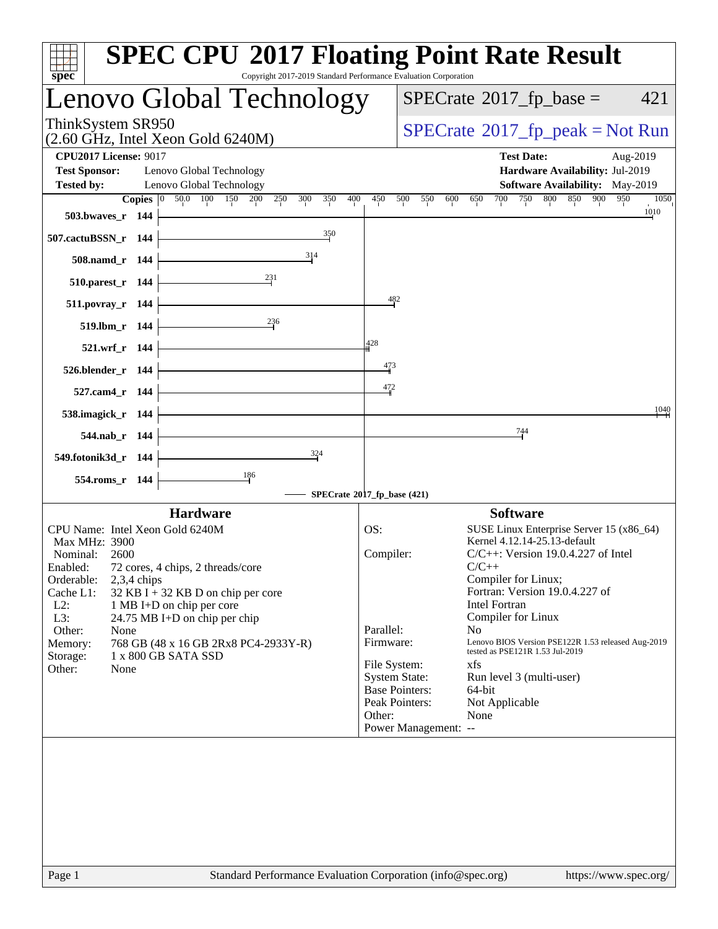|                                   |               | Lenovo Global Technology                                        |                             |                       | $SPECrate^{\circledast}2017$ _fp_base =                               | 421                   |
|-----------------------------------|---------------|-----------------------------------------------------------------|-----------------------------|-----------------------|-----------------------------------------------------------------------|-----------------------|
| ThinkSystem SR950                 |               | $(2.60 \text{ GHz}, \text{Intel Xeon Gold } 6240 \text{M})$     |                             |                       | $SPECrate^{\circledast}2017_fp\_peak = Not Run$                       |                       |
| <b>CPU2017 License: 9017</b>      |               |                                                                 |                             |                       | <b>Test Date:</b>                                                     | Aug-2019              |
| <b>Test Sponsor:</b>              |               | Lenovo Global Technology                                        |                             |                       | Hardware Availability: Jul-2019                                       |                       |
| <b>Tested by:</b>                 |               | Lenovo Global Technology<br><b>Copies</b> 0 50.0 100 150        |                             |                       | <b>Software Availability:</b> May-2019<br>850 900                     |                       |
| 503.bwaves_r 144                  |               | 200<br>350<br>250<br>300                                        | 400<br>450                  | 500<br>550<br>600     | 700<br>750<br>800<br>650                                              | 950<br>1050<br>1010   |
|                                   |               | 350                                                             |                             |                       |                                                                       |                       |
| 507.cactuBSSN_r 144               |               | 314                                                             |                             |                       |                                                                       |                       |
| 508.namd_r 144                    |               |                                                                 |                             |                       |                                                                       |                       |
| 510.parest_r 144                  |               | $^{231}$                                                        |                             |                       |                                                                       |                       |
| 511.povray_r 144                  |               |                                                                 | 482                         |                       |                                                                       |                       |
| 519.lbm_r 144                     |               | $^{236}$                                                        |                             |                       |                                                                       |                       |
| 521.wrf_r 144                     |               |                                                                 | 428                         |                       |                                                                       |                       |
| 526.blender_r 144                 |               |                                                                 | $\frac{473}{4}$             |                       |                                                                       |                       |
| 527.cam4_r 144                    |               |                                                                 | 472                         |                       |                                                                       |                       |
| 538.imagick_r 144                 |               |                                                                 |                             |                       |                                                                       | 1040                  |
|                                   |               |                                                                 |                             |                       | 744                                                                   |                       |
| 544.nab_r 144                     |               | 324                                                             |                             |                       |                                                                       |                       |
| 549.fotonik3d_r 144               |               |                                                                 |                             |                       |                                                                       |                       |
| 554.roms_r 144                    |               | $\frac{186}{1}$                                                 | SPECrate®2017_fp_base (421) |                       |                                                                       |                       |
|                                   |               | <b>Hardware</b>                                                 |                             |                       | <b>Software</b>                                                       |                       |
| CPU Name: Intel Xeon Gold 6240M   |               |                                                                 | OS:                         |                       | SUSE Linux Enterprise Server 15 (x86_64)                              |                       |
| Max MHz: 3900<br>Nominal:<br>2600 |               |                                                                 | Compiler:                   |                       | Kernel 4.12.14-25.13-default<br>$C/C++$ : Version 19.0.4.227 of Intel |                       |
| Enabled:                          |               | 72 cores, 4 chips, 2 threads/core                               |                             |                       | $C/C++$                                                               |                       |
| Orderable:<br>Cache L1:           | $2,3,4$ chips | $32$ KB I + 32 KB D on chip per core                            |                             |                       | Compiler for Linux;<br>Fortran: Version 19.0.4.227 of                 |                       |
| $L2$ :                            |               | 1 MB I+D on chip per core                                       |                             |                       | <b>Intel Fortran</b>                                                  |                       |
| L3:<br>Other:<br>None             |               | 24.75 MB I+D on chip per chip                                   | Parallel:                   |                       | Compiler for Linux<br>N <sub>0</sub>                                  |                       |
| Memory:                           |               | 768 GB (48 x 16 GB 2Rx8 PC4-2933Y-R)                            | Firmware:                   |                       | Lenovo BIOS Version PSE122R 1.53 released Aug-2019                    |                       |
| Storage:                          |               | 1 x 800 GB SATA SSD                                             | File System:                |                       | tested as PSE121R 1.53 Jul-2019<br>xfs                                |                       |
| Other:<br>None                    |               |                                                                 |                             | <b>System State:</b>  | Run level 3 (multi-user)                                              |                       |
|                                   |               |                                                                 |                             | <b>Base Pointers:</b> | 64-bit                                                                |                       |
|                                   |               |                                                                 |                             | Peak Pointers:        | Not Applicable                                                        |                       |
|                                   |               |                                                                 | Other:                      | Power Management: --  | None                                                                  |                       |
|                                   |               |                                                                 |                             |                       |                                                                       |                       |
| $P_{309}$ 1                       |               | Standard Performance Evaluation Corporation $(inf_0@spec, org)$ |                             |                       |                                                                       | https://www.spec.org/ |

 $\mathbf{I}$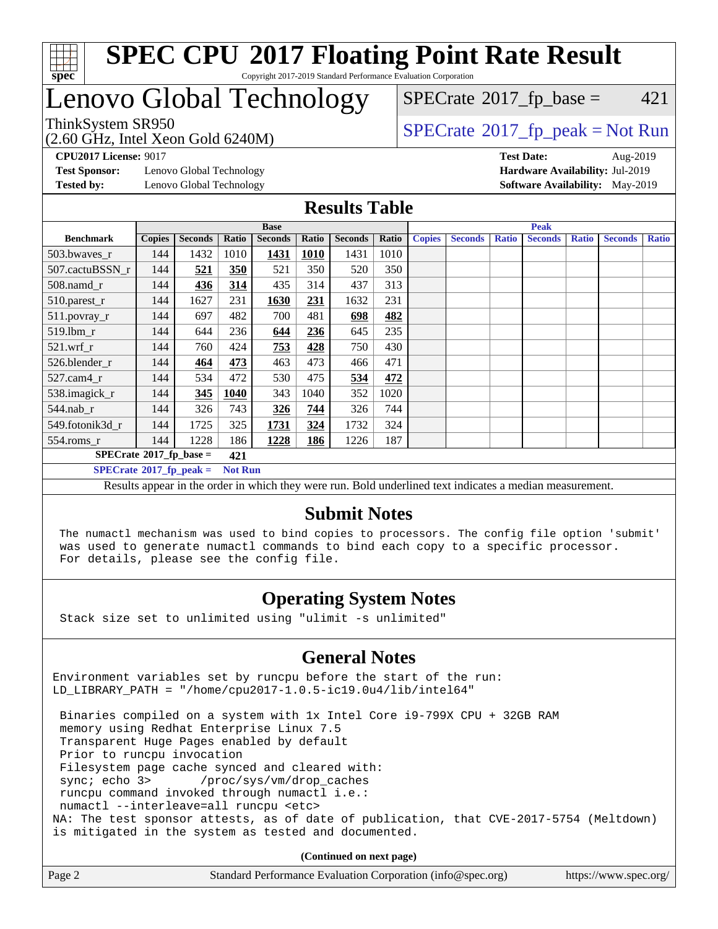

# Lenovo Global Technology

# $SPECTate$ <sup>®</sup>[2017\\_fp\\_base =](http://www.spec.org/auto/cpu2017/Docs/result-fields.html#SPECrate2017fpbase) 421

(2.60 GHz, Intel Xeon Gold 6240M)

 $SPECTate@2017_fp\_peak = Not Run$ 

**[Test Sponsor:](http://www.spec.org/auto/cpu2017/Docs/result-fields.html#TestSponsor)** Lenovo Global Technology **[Hardware Availability:](http://www.spec.org/auto/cpu2017/Docs/result-fields.html#HardwareAvailability)** Jul-2019 **[Tested by:](http://www.spec.org/auto/cpu2017/Docs/result-fields.html#Testedby)** Lenovo Global Technology **[Software Availability:](http://www.spec.org/auto/cpu2017/Docs/result-fields.html#SoftwareAvailability)** May-2019

**[CPU2017 License:](http://www.spec.org/auto/cpu2017/Docs/result-fields.html#CPU2017License)** 9017 **[Test Date:](http://www.spec.org/auto/cpu2017/Docs/result-fields.html#TestDate)** Aug-2019

### **[Results Table](http://www.spec.org/auto/cpu2017/Docs/result-fields.html#ResultsTable)**

|                                  | <b>Base</b>   |                |                |                |             |                |       |               | <b>Peak</b>    |              |                |              |                |              |  |  |
|----------------------------------|---------------|----------------|----------------|----------------|-------------|----------------|-------|---------------|----------------|--------------|----------------|--------------|----------------|--------------|--|--|
| <b>Benchmark</b>                 | <b>Copies</b> | <b>Seconds</b> | Ratio          | <b>Seconds</b> | Ratio       | <b>Seconds</b> | Ratio | <b>Copies</b> | <b>Seconds</b> | <b>Ratio</b> | <b>Seconds</b> | <b>Ratio</b> | <b>Seconds</b> | <b>Ratio</b> |  |  |
| 503.bwaves_r                     | 144           | 1432           | 1010           | 1431           | <b>1010</b> | 1431           | 1010  |               |                |              |                |              |                |              |  |  |
| 507.cactuBSSN r                  | 144           | 521            | 350            | 521            | 350         | 520            | 350   |               |                |              |                |              |                |              |  |  |
| $508$ .namd $r$                  | 144           | 436            | 314            | 435            | 314         | 437            | 313   |               |                |              |                |              |                |              |  |  |
| 510.parest_r                     | 144           | 1627           | 231            | 1630           | 231         | 1632           | 231   |               |                |              |                |              |                |              |  |  |
| 511.povray_r                     | 144           | 697            | 482            | 700            | 481         | 698            | 482   |               |                |              |                |              |                |              |  |  |
| 519.lbm r                        | 144           | 644            | 236            | 644            | 236         | 645            | 235   |               |                |              |                |              |                |              |  |  |
| $521$ .wrf r                     | 144           | 760            | 424            | 753            | 428         | 750            | 430   |               |                |              |                |              |                |              |  |  |
| 526.blender r                    | 144           | 464            | 473            | 463            | 473         | 466            | 471   |               |                |              |                |              |                |              |  |  |
| $527.cam4_r$                     | 144           | 534            | 472            | 530            | 475         | 534            | 472   |               |                |              |                |              |                |              |  |  |
| 538.imagick_r                    | 144           | 345            | 1040           | 343            | 1040        | 352            | 1020  |               |                |              |                |              |                |              |  |  |
| 544.nab_r                        | 144           | 326            | 743            | 326            | 744         | 326            | 744   |               |                |              |                |              |                |              |  |  |
| 549.fotonik3d r                  | 144           | 1725           | 325            | 1731           | 324         | 1732           | 324   |               |                |              |                |              |                |              |  |  |
| $554$ .roms_r                    | 144           | 1228           | 186            | 1228           | 186         | 1226           | 187   |               |                |              |                |              |                |              |  |  |
| $SPECrate^{\circ}2017$ fp base = | 421           |                |                |                |             |                |       |               |                |              |                |              |                |              |  |  |
| $SPECrate^{\circ}2017$ fp peak = |               |                | <b>Not Run</b> |                |             |                |       |               |                |              |                |              |                |              |  |  |

Results appear in the [order in which they were run](http://www.spec.org/auto/cpu2017/Docs/result-fields.html#RunOrder). Bold underlined text [indicates a median measurement.](http://www.spec.org/auto/cpu2017/Docs/result-fields.html#Median)

#### **[Submit Notes](http://www.spec.org/auto/cpu2017/Docs/result-fields.html#SubmitNotes)**

 The numactl mechanism was used to bind copies to processors. The config file option 'submit' was used to generate numactl commands to bind each copy to a specific processor. For details, please see the config file.

### **[Operating System Notes](http://www.spec.org/auto/cpu2017/Docs/result-fields.html#OperatingSystemNotes)**

Stack size set to unlimited using "ulimit -s unlimited"

#### **[General Notes](http://www.spec.org/auto/cpu2017/Docs/result-fields.html#GeneralNotes)**

Environment variables set by runcpu before the start of the run: LD\_LIBRARY\_PATH = "/home/cpu2017-1.0.5-ic19.0u4/lib/intel64"

 Binaries compiled on a system with 1x Intel Core i9-799X CPU + 32GB RAM memory using Redhat Enterprise Linux 7.5 Transparent Huge Pages enabled by default Prior to runcpu invocation Filesystem page cache synced and cleared with: sync; echo 3> /proc/sys/vm/drop\_caches runcpu command invoked through numactl i.e.: numactl --interleave=all runcpu <etc> NA: The test sponsor attests, as of date of publication, that CVE-2017-5754 (Meltdown) is mitigated in the system as tested and documented.

**(Continued on next page)**

| Page 2<br>Standard Performance Evaluation Corporation (info@spec.org) | https://www.spec.org/ |
|-----------------------------------------------------------------------|-----------------------|
|-----------------------------------------------------------------------|-----------------------|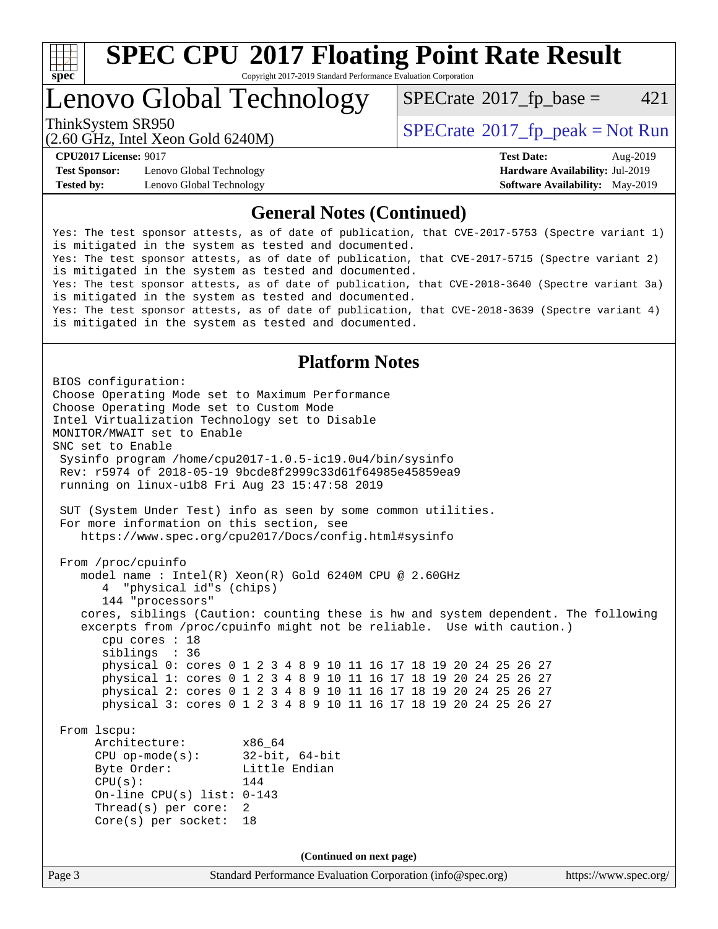

# **[SPEC CPU](http://www.spec.org/auto/cpu2017/Docs/result-fields.html#SPECCPU2017FloatingPointRateResult)[2017 Floating Point Rate Result](http://www.spec.org/auto/cpu2017/Docs/result-fields.html#SPECCPU2017FloatingPointRateResult)**

Copyright 2017-2019 Standard Performance Evaluation Corporation

## Lenovo Global Technology

 $SPECTate$ <sup>®</sup>[2017\\_fp\\_base =](http://www.spec.org/auto/cpu2017/Docs/result-fields.html#SPECrate2017fpbase) 421

(2.60 GHz, Intel Xeon Gold 6240M)

ThinkSystem SR950<br>  $SPECTI<sub>2</sub>$  [SPECrate](http://www.spec.org/auto/cpu2017/Docs/result-fields.html#SPECrate2017fppeak)®[2017\\_fp\\_peak = N](http://www.spec.org/auto/cpu2017/Docs/result-fields.html#SPECrate2017fppeak)ot Run

**[Test Sponsor:](http://www.spec.org/auto/cpu2017/Docs/result-fields.html#TestSponsor)** Lenovo Global Technology **[Hardware Availability:](http://www.spec.org/auto/cpu2017/Docs/result-fields.html#HardwareAvailability)** Jul-2019 **[Tested by:](http://www.spec.org/auto/cpu2017/Docs/result-fields.html#Testedby)** Lenovo Global Technology **[Software Availability:](http://www.spec.org/auto/cpu2017/Docs/result-fields.html#SoftwareAvailability)** May-2019

**[CPU2017 License:](http://www.spec.org/auto/cpu2017/Docs/result-fields.html#CPU2017License)** 9017 **[Test Date:](http://www.spec.org/auto/cpu2017/Docs/result-fields.html#TestDate)** Aug-2019

### **[General Notes \(Continued\)](http://www.spec.org/auto/cpu2017/Docs/result-fields.html#GeneralNotes)**

Yes: The test sponsor attests, as of date of publication, that CVE-2017-5753 (Spectre variant 1) is mitigated in the system as tested and documented. Yes: The test sponsor attests, as of date of publication, that CVE-2017-5715 (Spectre variant 2) is mitigated in the system as tested and documented. Yes: The test sponsor attests, as of date of publication, that CVE-2018-3640 (Spectre variant 3a) is mitigated in the system as tested and documented. Yes: The test sponsor attests, as of date of publication, that CVE-2018-3639 (Spectre variant 4) is mitigated in the system as tested and documented.

### **[Platform Notes](http://www.spec.org/auto/cpu2017/Docs/result-fields.html#PlatformNotes)**

Page 3 Standard Performance Evaluation Corporation [\(info@spec.org\)](mailto:info@spec.org) <https://www.spec.org/> BIOS configuration: Choose Operating Mode set to Maximum Performance Choose Operating Mode set to Custom Mode Intel Virtualization Technology set to Disable MONITOR/MWAIT set to Enable SNC set to Enable Sysinfo program /home/cpu2017-1.0.5-ic19.0u4/bin/sysinfo Rev: r5974 of 2018-05-19 9bcde8f2999c33d61f64985e45859ea9 running on linux-u1b8 Fri Aug 23 15:47:58 2019 SUT (System Under Test) info as seen by some common utilities. For more information on this section, see <https://www.spec.org/cpu2017/Docs/config.html#sysinfo> From /proc/cpuinfo model name : Intel(R) Xeon(R) Gold 6240M CPU @ 2.60GHz 4 "physical id"s (chips) 144 "processors" cores, siblings (Caution: counting these is hw and system dependent. The following excerpts from /proc/cpuinfo might not be reliable. Use with caution.) cpu cores : 18 siblings : 36 physical 0: cores 0 1 2 3 4 8 9 10 11 16 17 18 19 20 24 25 26 27 physical 1: cores 0 1 2 3 4 8 9 10 11 16 17 18 19 20 24 25 26 27 physical 2: cores 0 1 2 3 4 8 9 10 11 16 17 18 19 20 24 25 26 27 physical 3: cores 0 1 2 3 4 8 9 10 11 16 17 18 19 20 24 25 26 27 From lscpu: Architecture: x86\_64 CPU op-mode(s): 32-bit, 64-bit Byte Order: Little Endian  $CPU(s):$  144 On-line CPU(s) list: 0-143 Thread(s) per core: 2 Core(s) per socket: 18 **(Continued on next page)**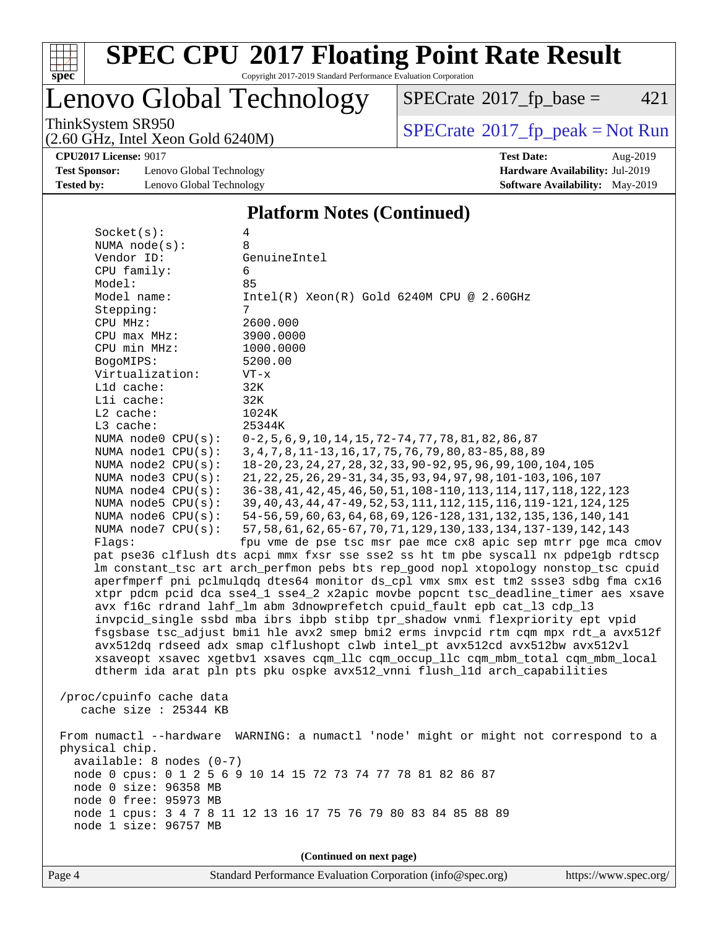

# **[SPEC CPU](http://www.spec.org/auto/cpu2017/Docs/result-fields.html#SPECCPU2017FloatingPointRateResult)[2017 Floating Point Rate Result](http://www.spec.org/auto/cpu2017/Docs/result-fields.html#SPECCPU2017FloatingPointRateResult)**

Copyright 2017-2019 Standard Performance Evaluation Corporation

### Lenovo Global Technology

 $SPECTate@2017_fp\_base = 421$ 

(2.60 GHz, Intel Xeon Gold 6240M)

ThinkSystem SR950<br>  $(2.60 \text{ GHz})$  Intel Xeon Gold 6240M)

**[CPU2017 License:](http://www.spec.org/auto/cpu2017/Docs/result-fields.html#CPU2017License)** 9017 **[Test Date:](http://www.spec.org/auto/cpu2017/Docs/result-fields.html#TestDate)** Aug-2019

**[Test Sponsor:](http://www.spec.org/auto/cpu2017/Docs/result-fields.html#TestSponsor)** Lenovo Global Technology **[Hardware Availability:](http://www.spec.org/auto/cpu2017/Docs/result-fields.html#HardwareAvailability)** Jul-2019 **[Tested by:](http://www.spec.org/auto/cpu2017/Docs/result-fields.html#Testedby)** Lenovo Global Technology **[Software Availability:](http://www.spec.org/auto/cpu2017/Docs/result-fields.html#SoftwareAvailability)** May-2019

#### **[Platform Notes \(Continued\)](http://www.spec.org/auto/cpu2017/Docs/result-fields.html#PlatformNotes)**

| Socket(s):                   | 4                                                                                   |  |  |  |  |  |  |  |  |
|------------------------------|-------------------------------------------------------------------------------------|--|--|--|--|--|--|--|--|
| NUMA node(s):                | 8                                                                                   |  |  |  |  |  |  |  |  |
| Vendor ID:                   | GenuineIntel                                                                        |  |  |  |  |  |  |  |  |
| CPU family:                  | 6                                                                                   |  |  |  |  |  |  |  |  |
| Model:                       | 85                                                                                  |  |  |  |  |  |  |  |  |
| Model name:                  | $Intel(R) Xeon(R) Gold 6240M CPU @ 2.60GHz$                                         |  |  |  |  |  |  |  |  |
| Stepping:                    | 7                                                                                   |  |  |  |  |  |  |  |  |
| CPU MHz:                     | 2600.000                                                                            |  |  |  |  |  |  |  |  |
| CPU max MHz:                 | 3900.0000                                                                           |  |  |  |  |  |  |  |  |
| CPU min MHz:                 | 1000.0000                                                                           |  |  |  |  |  |  |  |  |
| BogoMIPS:<br>Virtualization: | 5200.00<br>$VT - x$                                                                 |  |  |  |  |  |  |  |  |
| L1d cache:                   | 32K                                                                                 |  |  |  |  |  |  |  |  |
| Lli cache:                   | 32K                                                                                 |  |  |  |  |  |  |  |  |
| L2 cache:                    | 1024K                                                                               |  |  |  |  |  |  |  |  |
| L3 cache:                    | 25344K                                                                              |  |  |  |  |  |  |  |  |
| NUMA node0 CPU(s):           | $0-2, 5, 6, 9, 10, 14, 15, 72-74, 77, 78, 81, 82, 86, 87$                           |  |  |  |  |  |  |  |  |
| NUMA nodel CPU(s):           | 3, 4, 7, 8, 11-13, 16, 17, 75, 76, 79, 80, 83-85, 88, 89                            |  |  |  |  |  |  |  |  |
| NUMA $node2$ $CPU(s)$ :      | 18-20, 23, 24, 27, 28, 32, 33, 90-92, 95, 96, 99, 100, 104, 105                     |  |  |  |  |  |  |  |  |
| NUMA node3 CPU(s):           | 21, 22, 25, 26, 29-31, 34, 35, 93, 94, 97, 98, 101-103, 106, 107                    |  |  |  |  |  |  |  |  |
| NUMA node4 CPU(s):           | 36-38, 41, 42, 45, 46, 50, 51, 108-110, 113, 114, 117, 118, 122, 123                |  |  |  |  |  |  |  |  |
| NUMA node5 $CPU(s):$         | 39, 40, 43, 44, 47-49, 52, 53, 111, 112, 115, 116, 119-121, 124, 125                |  |  |  |  |  |  |  |  |
| NUMA node6 $CPU(s):$         | 54-56, 59, 60, 63, 64, 68, 69, 126-128, 131, 132, 135, 136, 140, 141                |  |  |  |  |  |  |  |  |
| NUMA node7 CPU(s):           | 57, 58, 61, 62, 65-67, 70, 71, 129, 130, 133, 134, 137-139, 142, 143                |  |  |  |  |  |  |  |  |
| Flags:                       | fpu vme de pse tsc msr pae mce cx8 apic sep mtrr pge mca cmov                       |  |  |  |  |  |  |  |  |
|                              | pat pse36 clflush dts acpi mmx fxsr sse sse2 ss ht tm pbe syscall nx pdpelgb rdtscp |  |  |  |  |  |  |  |  |
|                              | lm constant_tsc art arch_perfmon pebs bts rep_good nopl xtopology nonstop_tsc cpuid |  |  |  |  |  |  |  |  |
|                              | aperfmperf pni pclmulqdq dtes64 monitor ds_cpl vmx smx est tm2 ssse3 sdbg fma cx16  |  |  |  |  |  |  |  |  |
|                              | xtpr pdcm pcid dca sse4_1 sse4_2 x2apic movbe popcnt tsc_deadline_timer aes xsave   |  |  |  |  |  |  |  |  |
|                              | avx f16c rdrand lahf_lm abm 3dnowprefetch cpuid_fault epb cat_13 cdp_13             |  |  |  |  |  |  |  |  |
|                              | invpcid_single ssbd mba ibrs ibpb stibp tpr_shadow vnmi flexpriority ept vpid       |  |  |  |  |  |  |  |  |
|                              | fsgsbase tsc_adjust bmil hle avx2 smep bmi2 erms invpcid rtm cqm mpx rdt_a avx512f  |  |  |  |  |  |  |  |  |
|                              | avx512dq rdseed adx smap clflushopt clwb intel_pt avx512cd avx512bw avx512vl        |  |  |  |  |  |  |  |  |
|                              | xsaveopt xsavec xgetbvl xsaves cqm_llc cqm_occup_llc cqm_mbm_total cqm_mbm_local    |  |  |  |  |  |  |  |  |
|                              | dtherm ida arat pln pts pku ospke avx512_vnni flush_lld arch_capabilities           |  |  |  |  |  |  |  |  |
| /proc/cpuinfo cache data     |                                                                                     |  |  |  |  |  |  |  |  |
| cache size : 25344 KB        |                                                                                     |  |  |  |  |  |  |  |  |
|                              |                                                                                     |  |  |  |  |  |  |  |  |
| From numactl --hardware      | WARNING: a numactl 'node' might or might not correspond to a                        |  |  |  |  |  |  |  |  |
| physical chip.               |                                                                                     |  |  |  |  |  |  |  |  |
| $available: 8 nodes (0-7)$   |                                                                                     |  |  |  |  |  |  |  |  |
|                              | node 0 cpus: 0 1 2 5 6 9 10 14 15 72 73 74 77 78 81 82 86 87                        |  |  |  |  |  |  |  |  |
| node 0 size: 96358 MB        |                                                                                     |  |  |  |  |  |  |  |  |
| node 0 free: 95973 MB        |                                                                                     |  |  |  |  |  |  |  |  |
|                              | node 1 cpus: 3 4 7 8 11 12 13 16 17 75 76 79 80 83 84 85 88 89                      |  |  |  |  |  |  |  |  |
| node 1 size: 96757 MB        |                                                                                     |  |  |  |  |  |  |  |  |
|                              |                                                                                     |  |  |  |  |  |  |  |  |
|                              | (Continued on next page)                                                            |  |  |  |  |  |  |  |  |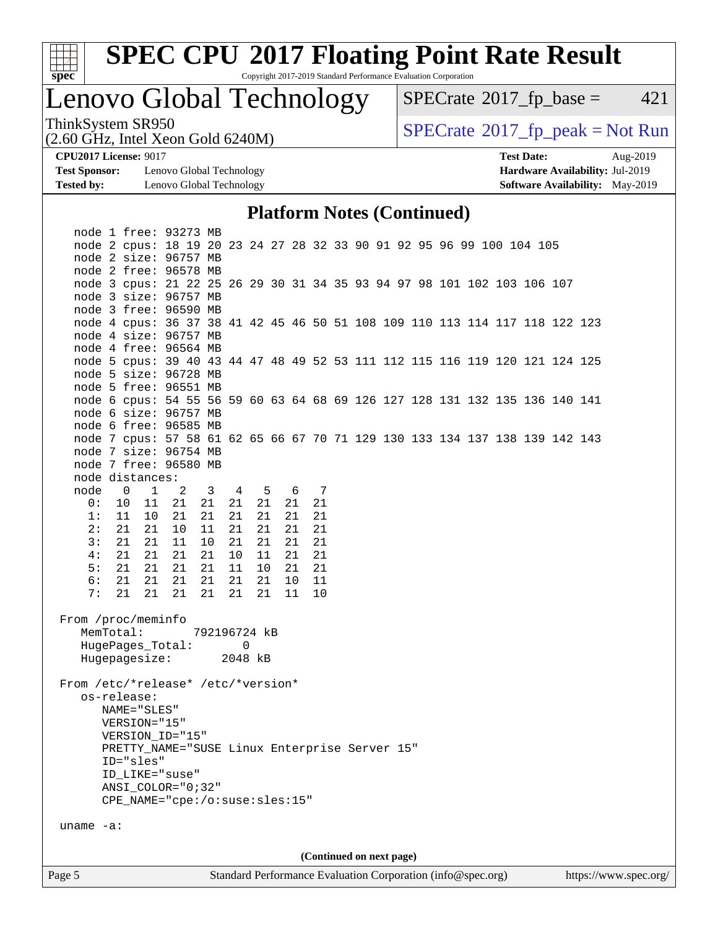

# **[SPEC CPU](http://www.spec.org/auto/cpu2017/Docs/result-fields.html#SPECCPU2017FloatingPointRateResult)[2017 Floating Point Rate Result](http://www.spec.org/auto/cpu2017/Docs/result-fields.html#SPECCPU2017FloatingPointRateResult)**

Copyright 2017-2019 Standard Performance Evaluation Corporation

# Lenovo Global Technology

 $SPECTate@2017_fp\_base = 421$ 

(2.60 GHz, Intel Xeon Gold 6240M)

ThinkSystem SR950<br>  $(2.60 \text{ GHz})$  Intel Xeon Gold 6240M)

**[Test Sponsor:](http://www.spec.org/auto/cpu2017/Docs/result-fields.html#TestSponsor)** Lenovo Global Technology **[Hardware Availability:](http://www.spec.org/auto/cpu2017/Docs/result-fields.html#HardwareAvailability)** Jul-2019 **[Tested by:](http://www.spec.org/auto/cpu2017/Docs/result-fields.html#Testedby)** Lenovo Global Technology **[Software Availability:](http://www.spec.org/auto/cpu2017/Docs/result-fields.html#SoftwareAvailability)** May-2019

**[CPU2017 License:](http://www.spec.org/auto/cpu2017/Docs/result-fields.html#CPU2017License)** 9017 **[Test Date:](http://www.spec.org/auto/cpu2017/Docs/result-fields.html#TestDate)** Aug-2019

### **[Platform Notes \(Continued\)](http://www.spec.org/auto/cpu2017/Docs/result-fields.html#PlatformNotes)**

| Page 5                             |                            |              |                                                                                                  |              |          |          |          |          |                          |  |  | Standard Performance Evaluation Corporation (info@spec.org) |  | https://www.spec.org/ |  |
|------------------------------------|----------------------------|--------------|--------------------------------------------------------------------------------------------------|--------------|----------|----------|----------|----------|--------------------------|--|--|-------------------------------------------------------------|--|-----------------------|--|
|                                    |                            |              |                                                                                                  |              |          |          |          |          | (Continued on next page) |  |  |                                                             |  |                       |  |
| uname $-a$ :                       |                            |              |                                                                                                  |              |          |          |          |          |                          |  |  |                                                             |  |                       |  |
|                                    |                            |              | CPE_NAME="cpe:/o:suse:sles:15"                                                                   |              |          |          |          |          |                          |  |  |                                                             |  |                       |  |
|                                    |                            |              | ANSI_COLOR="0;32"                                                                                |              |          |          |          |          |                          |  |  |                                                             |  |                       |  |
|                                    |                            |              | ID_LIKE="suse"                                                                                   |              |          |          |          |          |                          |  |  |                                                             |  |                       |  |
|                                    | ID="sles"                  |              |                                                                                                  |              |          |          |          |          |                          |  |  |                                                             |  |                       |  |
|                                    |                            |              | PRETTY_NAME="SUSE Linux Enterprise Server 15"                                                    |              |          |          |          |          |                          |  |  |                                                             |  |                       |  |
|                                    |                            |              | VERSION_ID="15"                                                                                  |              |          |          |          |          |                          |  |  |                                                             |  |                       |  |
|                                    | VERSION="15"               |              |                                                                                                  |              |          |          |          |          |                          |  |  |                                                             |  |                       |  |
|                                    | os-release:<br>NAME="SLES" |              |                                                                                                  |              |          |          |          |          |                          |  |  |                                                             |  |                       |  |
| From /etc/*release* /etc/*version* |                            |              |                                                                                                  |              |          |          |          |          |                          |  |  |                                                             |  |                       |  |
|                                    |                            |              | HugePages_Total:<br>Hugepagesize: 2048 kB                                                        |              |          | 0        |          |          |                          |  |  |                                                             |  |                       |  |
| From /proc/meminfo                 |                            |              | MemTotal:                                                                                        | 792196724 kB |          |          |          |          |                          |  |  |                                                             |  |                       |  |
|                                    |                            |              |                                                                                                  |              |          |          |          |          |                          |  |  |                                                             |  |                       |  |
| 7:                                 | 21                         | 21           | 21                                                                                               | 21           | 21       | 21       | 11       | 10       |                          |  |  |                                                             |  |                       |  |
| 6:                                 | 21                         |              | 21 21                                                                                            | 21           | 21       | -21      | 10       | 11       |                          |  |  |                                                             |  |                       |  |
| 5:                                 | 21                         |              | 21 21                                                                                            | 21           |          | 11 10    | 21       | 21       |                          |  |  |                                                             |  |                       |  |
| 4:                                 | 21                         |              | 21 21                                                                                            | 21           | 10       | 11       | 21       | 21       |                          |  |  |                                                             |  |                       |  |
| 3:                                 | 21                         |              | 21 11                                                                                            | 10           | 21       | 21       | 21       | 21       |                          |  |  |                                                             |  |                       |  |
| 2:                                 | 21                         |              | 21 10                                                                                            | 11           | 21       | 21       | 21       | 21       |                          |  |  |                                                             |  |                       |  |
| 0:<br>1:                           | 10 11                      |              | 21<br>11 10 21                                                                                   | 21<br>21     | 21<br>21 | 21<br>21 | 21<br>21 | 21<br>21 |                          |  |  |                                                             |  |                       |  |
| node                               | $\overline{0}$             | $\mathbf{1}$ | 2                                                                                                | 3 4 5 6 7    |          |          |          |          |                          |  |  |                                                             |  |                       |  |
| node distances:                    |                            |              |                                                                                                  |              |          |          |          |          |                          |  |  |                                                             |  |                       |  |
|                                    |                            |              | node 7 free: 96580 MB                                                                            |              |          |          |          |          |                          |  |  |                                                             |  |                       |  |
|                                    |                            |              | node 7 size: 96754 MB                                                                            |              |          |          |          |          |                          |  |  |                                                             |  |                       |  |
|                                    |                            |              | node 7 cpus: 57 58 61 62 65 66 67 70 71 129 130 133 134 137 138 139 142 143                      |              |          |          |          |          |                          |  |  |                                                             |  |                       |  |
|                                    |                            |              | node 6 free: 96585 MB                                                                            |              |          |          |          |          |                          |  |  |                                                             |  |                       |  |
|                                    |                            |              | node 6 size: 96757 MB                                                                            |              |          |          |          |          |                          |  |  |                                                             |  |                       |  |
|                                    |                            |              | node 6 cpus: 54 55 56 59 60 63 64 68 69 126 127 128 131 132 135 136 140 141                      |              |          |          |          |          |                          |  |  |                                                             |  |                       |  |
|                                    |                            |              | node 5 free: 96551 MB                                                                            |              |          |          |          |          |                          |  |  |                                                             |  |                       |  |
|                                    |                            |              | node 5 size: 96728 MB                                                                            |              |          |          |          |          |                          |  |  |                                                             |  |                       |  |
|                                    |                            |              | node 5 cpus: 39 40 43 44 47 48 49 52 53 111 112 115 116 119 120 121 124 125                      |              |          |          |          |          |                          |  |  |                                                             |  |                       |  |
|                                    |                            |              | node 4 free: 96564 MB                                                                            |              |          |          |          |          |                          |  |  |                                                             |  |                       |  |
|                                    |                            |              | node 4 size: 96757 MB                                                                            |              |          |          |          |          |                          |  |  |                                                             |  |                       |  |
|                                    |                            |              | node 4 cpus: 36 37 38 41 42 45 46 50 51 108 109 110 113 114 117 118 122 123                      |              |          |          |          |          |                          |  |  |                                                             |  |                       |  |
|                                    |                            |              | node 3 free: 96590 MB                                                                            |              |          |          |          |          |                          |  |  |                                                             |  |                       |  |
|                                    |                            |              | node 3 size: 96757 MB                                                                            |              |          |          |          |          |                          |  |  |                                                             |  |                       |  |
|                                    |                            |              | node 2 free: 96578 MB<br>node 3 cpus: 21 22 25 26 29 30 31 34 35 93 94 97 98 101 102 103 106 107 |              |          |          |          |          |                          |  |  |                                                             |  |                       |  |
|                                    |                            |              | node 2 size: 96757 MB                                                                            |              |          |          |          |          |                          |  |  |                                                             |  |                       |  |
|                                    |                            |              | node 2 cpus: 18 19 20 23 24 27 28 32 33 90 91 92 95 96 99 100 104 105                            |              |          |          |          |          |                          |  |  |                                                             |  |                       |  |
|                                    |                            |              | node 1 free: 93273 MB                                                                            |              |          |          |          |          |                          |  |  |                                                             |  |                       |  |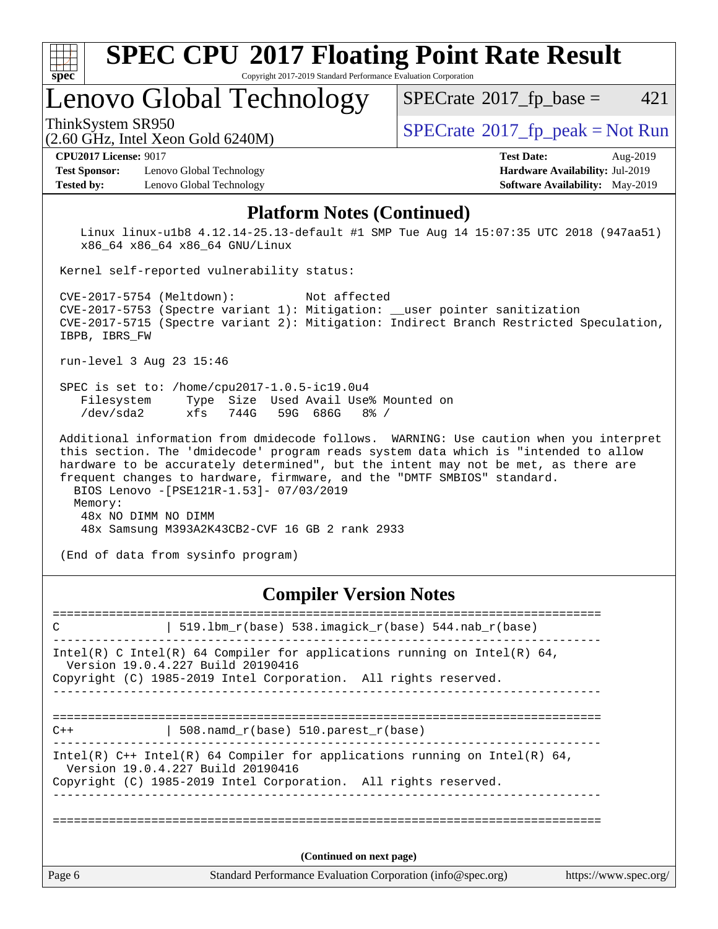| spec <sup>®</sup>                                                                                                                                                                                                                                                                                                                                                                                                                      | <b>SPEC CPU®2017 Floating Point Rate Result</b><br>Copyright 2017-2019 Standard Performance Evaluation Corporation                                                                                                                                                                                                                                                                                                                                                                                        |                                                                                                            |  |  |  |  |  |
|----------------------------------------------------------------------------------------------------------------------------------------------------------------------------------------------------------------------------------------------------------------------------------------------------------------------------------------------------------------------------------------------------------------------------------------|-----------------------------------------------------------------------------------------------------------------------------------------------------------------------------------------------------------------------------------------------------------------------------------------------------------------------------------------------------------------------------------------------------------------------------------------------------------------------------------------------------------|------------------------------------------------------------------------------------------------------------|--|--|--|--|--|
|                                                                                                                                                                                                                                                                                                                                                                                                                                        | Lenovo Global Technology                                                                                                                                                                                                                                                                                                                                                                                                                                                                                  | 421<br>$SPECrate^{\circ}2017$ fp base =                                                                    |  |  |  |  |  |
| ThinkSystem SR950                                                                                                                                                                                                                                                                                                                                                                                                                      | (2.60 GHz, Intel Xeon Gold 6240M)                                                                                                                                                                                                                                                                                                                                                                                                                                                                         | $SPECrate^{\circ}2017$ [p_peak = Not Run                                                                   |  |  |  |  |  |
| <b>CPU2017 License: 9017</b><br><b>Test Sponsor:</b><br><b>Tested by:</b>                                                                                                                                                                                                                                                                                                                                                              | Lenovo Global Technology<br>Lenovo Global Technology                                                                                                                                                                                                                                                                                                                                                                                                                                                      | <b>Test Date:</b><br>Aug-2019<br>Hardware Availability: Jul-2019<br><b>Software Availability:</b> May-2019 |  |  |  |  |  |
|                                                                                                                                                                                                                                                                                                                                                                                                                                        | <b>Platform Notes (Continued)</b>                                                                                                                                                                                                                                                                                                                                                                                                                                                                         |                                                                                                            |  |  |  |  |  |
| Linux linux-ulb8 4.12.14-25.13-default #1 SMP Tue Aug 14 15:07:35 UTC 2018 (947aa51)<br>x86_64 x86_64 x86_64 GNU/Linux<br>Kernel self-reported vulnerability status:<br>CVE-2017-5754 (Meltdown):<br>Not affected<br>CVE-2017-5753 (Spectre variant 1): Mitigation: __user pointer sanitization<br>CVE-2017-5715 (Spectre variant 2): Mitigation: Indirect Branch Restricted Speculation,<br>IBPB, IBRS FW<br>run-level 3 Aug 23 15:46 |                                                                                                                                                                                                                                                                                                                                                                                                                                                                                                           |                                                                                                            |  |  |  |  |  |
| Filesystem<br>$/\text{dev/sda2}$<br>Memory:                                                                                                                                                                                                                                                                                                                                                                                            | SPEC is set to: /home/cpu2017-1.0.5-ic19.0u4<br>Size Used Avail Use% Mounted on<br>Type<br>744G<br>59G 686G<br>$8\%$ /<br>xfs<br>this section. The 'dmidecode' program reads system data which is "intended to allow<br>hardware to be accurately determined", but the intent may not be met, as there are<br>frequent changes to hardware, firmware, and the "DMTF SMBIOS" standard.<br>BIOS Lenovo -[PSE121R-1.53]- 07/03/2019<br>48x NO DIMM NO DIMM<br>48x Samsung M393A2K43CB2-CVF 16 GB 2 rank 2933 | Additional information from dmidecode follows. WARNING: Use caution when you interpret                     |  |  |  |  |  |
| (End of data from sysinfo program)                                                                                                                                                                                                                                                                                                                                                                                                     |                                                                                                                                                                                                                                                                                                                                                                                                                                                                                                           |                                                                                                            |  |  |  |  |  |

### **[Compiler Version Notes](http://www.spec.org/auto/cpu2017/Docs/result-fields.html#CompilerVersionNotes)**

| C      | 519.1bm_r(base) 538.imagick_r(base) 544.nab_r(base)                                                                                                                                  |                       |
|--------|--------------------------------------------------------------------------------------------------------------------------------------------------------------------------------------|-----------------------|
|        | Intel(R) C Intel(R) 64 Compiler for applications running on Intel(R) 64,<br>Version 19.0.4.227 Build 20190416<br>Copyright (C) 1985-2019 Intel Corporation. All rights reserved.     |                       |
| $C++$  | 508.namd_r(base) 510.parest_r(base)                                                                                                                                                  |                       |
|        | Intel(R) $C++$ Intel(R) 64 Compiler for applications running on Intel(R) 64,<br>Version 19.0.4.227 Build 20190416<br>Copyright (C) 1985-2019 Intel Corporation. All rights reserved. |                       |
|        |                                                                                                                                                                                      |                       |
|        | (Continued on next page)                                                                                                                                                             |                       |
| Page 6 | Standard Performance Evaluation Corporation (info@spec.org)                                                                                                                          | https://www.spec.org/ |
|        |                                                                                                                                                                                      |                       |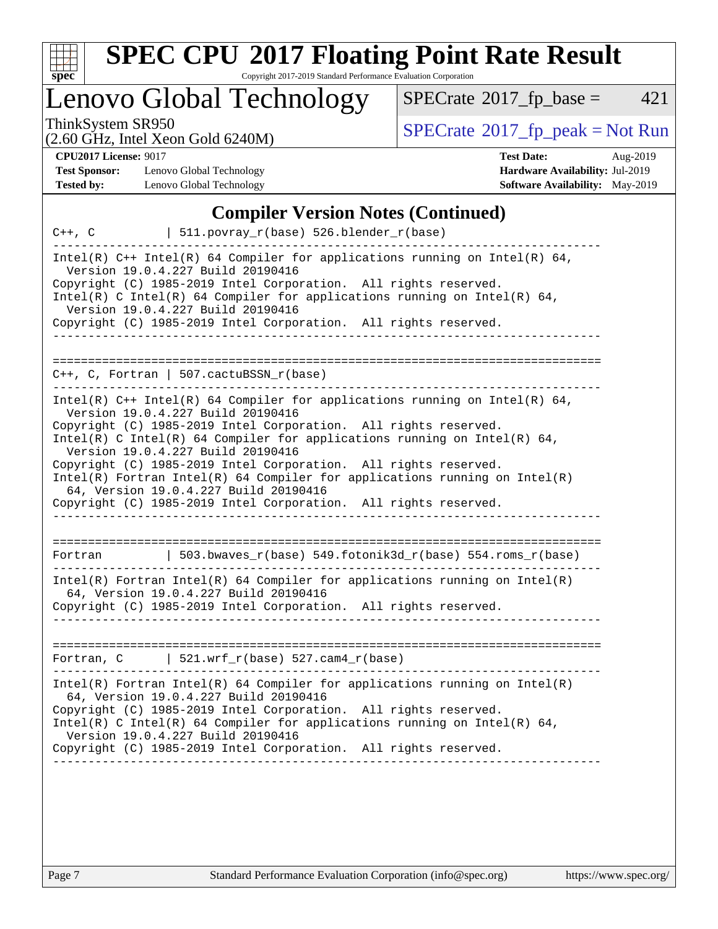

# Lenovo Global Technology

 $SPECTate@2017_fp\_base = 421$ 

(2.60 GHz, Intel Xeon Gold 6240M)

ThinkSystem SR950<br>  $SPECTI<sub>2</sub>$  [SPECrate](http://www.spec.org/auto/cpu2017/Docs/result-fields.html#SPECrate2017fppeak)®[2017\\_fp\\_peak = N](http://www.spec.org/auto/cpu2017/Docs/result-fields.html#SPECrate2017fppeak)ot Run

**[CPU2017 License:](http://www.spec.org/auto/cpu2017/Docs/result-fields.html#CPU2017License)** 9017

**[Test Sponsor:](http://www.spec.org/auto/cpu2017/Docs/result-fields.html#TestSponsor)** Lenovo Global Technology **[Tested by:](http://www.spec.org/auto/cpu2017/Docs/result-fields.html#Testedby)** Lenovo Global Technology

| <b>Test Date:</b>                      | Aug-2019 |
|----------------------------------------|----------|
| Hardware Availability: Jul-2019        |          |
| <b>Software Availability:</b> May-2019 |          |

#### **[Compiler Version Notes \(Continued\)](http://www.spec.org/auto/cpu2017/Docs/result-fields.html#CompilerVersionNotes)**

 $C++$ , C | 511.povray\_r(base) 526.blender r(base) ------------------------------------------------------------------------------ Intel(R)  $C++$  Intel(R) 64 Compiler for applications running on Intel(R) 64, Version 19.0.4.227 Build 20190416 Copyright (C) 1985-2019 Intel Corporation. All rights reserved. Intel(R) C Intel(R) 64 Compiler for applications running on Intel(R) 64, Version 19.0.4.227 Build 20190416 Copyright (C) 1985-2019 Intel Corporation. All rights reserved. ------------------------------------------------------------------------------ ============================================================================== C++, C, Fortran | 507.cactuBSSN\_r(base) ------------------------------------------------------------------------------ Intel(R) C++ Intel(R) 64 Compiler for applications running on Intel(R) 64, Version 19.0.4.227 Build 20190416 Copyright (C) 1985-2019 Intel Corporation. All rights reserved. Intel(R) C Intel(R) 64 Compiler for applications running on Intel(R) 64, Version 19.0.4.227 Build 20190416 Copyright (C) 1985-2019 Intel Corporation. All rights reserved. Intel(R) Fortran Intel(R) 64 Compiler for applications running on Intel(R) 64, Version 19.0.4.227 Build 20190416 Copyright (C) 1985-2019 Intel Corporation. All rights reserved. ------------------------------------------------------------------------------ ============================================================================== Fortran | 503.bwaves\_r(base) 549.fotonik3d\_r(base) 554.roms\_r(base) ------------------------------------------------------------------------------ Intel(R) Fortran Intel(R) 64 Compiler for applications running on Intel(R) 64, Version 19.0.4.227 Build 20190416 Copyright (C) 1985-2019 Intel Corporation. All rights reserved. ------------------------------------------------------------------------------ ============================================================================== Fortran, C  $| 521.wrf_r(base) 527.cam4_r(base)$ ------------------------------------------------------------------------------ Intel(R) Fortran Intel(R) 64 Compiler for applications running on Intel(R) 64, Version 19.0.4.227 Build 20190416 Copyright (C) 1985-2019 Intel Corporation. All rights reserved. Intel(R) C Intel(R) 64 Compiler for applications running on Intel(R) 64, Version 19.0.4.227 Build 20190416 Copyright (C) 1985-2019 Intel Corporation. All rights reserved. ------------------------------------------------------------------------------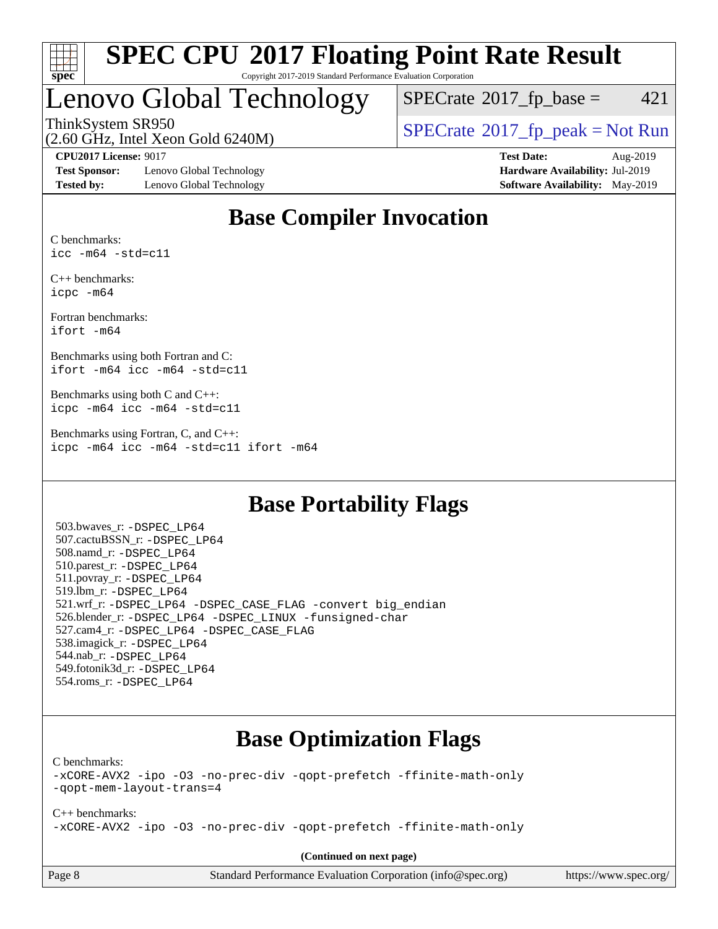

### Lenovo Global Technology

 $SPECTate$ <sup>®</sup>[2017\\_fp\\_base =](http://www.spec.org/auto/cpu2017/Docs/result-fields.html#SPECrate2017fpbase) 421

(2.60 GHz, Intel Xeon Gold 6240M)

ThinkSystem SR950<br>  $\begin{array}{c}\n\text{SPECrate} \textcirc 2017\_fp\_peak = Not Run \\
\text{SPECrate} \textcirc 2017\_fp\_peak = Not Run\n\end{array}$  $\begin{array}{c}\n\text{SPECrate} \textcirc 2017\_fp\_peak = Not Run \\
\text{SPECrate} \textcirc 2017\_fp\_peak = Not Run\n\end{array}$  $\begin{array}{c}\n\text{SPECrate} \textcirc 2017\_fp\_peak = Not Run \\
\text{SPECrate} \textcirc 2017\_fp\_peak = Not Run\n\end{array}$ 

**[Test Sponsor:](http://www.spec.org/auto/cpu2017/Docs/result-fields.html#TestSponsor)** Lenovo Global Technology **[Hardware Availability:](http://www.spec.org/auto/cpu2017/Docs/result-fields.html#HardwareAvailability)** Jul-2019 **[Tested by:](http://www.spec.org/auto/cpu2017/Docs/result-fields.html#Testedby)** Lenovo Global Technology **[Software Availability:](http://www.spec.org/auto/cpu2017/Docs/result-fields.html#SoftwareAvailability)** May-2019

**[CPU2017 License:](http://www.spec.org/auto/cpu2017/Docs/result-fields.html#CPU2017License)** 9017 **[Test Date:](http://www.spec.org/auto/cpu2017/Docs/result-fields.html#TestDate)** Aug-2019

### **[Base Compiler Invocation](http://www.spec.org/auto/cpu2017/Docs/result-fields.html#BaseCompilerInvocation)**

[C benchmarks:](http://www.spec.org/auto/cpu2017/Docs/result-fields.html#Cbenchmarks) [icc -m64 -std=c11](http://www.spec.org/cpu2017/results/res2019q3/cpu2017-20190902-17553.flags.html#user_CCbase_intel_icc_64bit_c11_33ee0cdaae7deeeab2a9725423ba97205ce30f63b9926c2519791662299b76a0318f32ddfffdc46587804de3178b4f9328c46fa7c2b0cd779d7a61945c91cd35)

[C++ benchmarks:](http://www.spec.org/auto/cpu2017/Docs/result-fields.html#CXXbenchmarks) [icpc -m64](http://www.spec.org/cpu2017/results/res2019q3/cpu2017-20190902-17553.flags.html#user_CXXbase_intel_icpc_64bit_4ecb2543ae3f1412ef961e0650ca070fec7b7afdcd6ed48761b84423119d1bf6bdf5cad15b44d48e7256388bc77273b966e5eb805aefd121eb22e9299b2ec9d9)

[Fortran benchmarks](http://www.spec.org/auto/cpu2017/Docs/result-fields.html#Fortranbenchmarks): [ifort -m64](http://www.spec.org/cpu2017/results/res2019q3/cpu2017-20190902-17553.flags.html#user_FCbase_intel_ifort_64bit_24f2bb282fbaeffd6157abe4f878425411749daecae9a33200eee2bee2fe76f3b89351d69a8130dd5949958ce389cf37ff59a95e7a40d588e8d3a57e0c3fd751)

[Benchmarks using both Fortran and C:](http://www.spec.org/auto/cpu2017/Docs/result-fields.html#BenchmarksusingbothFortranandC) [ifort -m64](http://www.spec.org/cpu2017/results/res2019q3/cpu2017-20190902-17553.flags.html#user_CC_FCbase_intel_ifort_64bit_24f2bb282fbaeffd6157abe4f878425411749daecae9a33200eee2bee2fe76f3b89351d69a8130dd5949958ce389cf37ff59a95e7a40d588e8d3a57e0c3fd751) [icc -m64 -std=c11](http://www.spec.org/cpu2017/results/res2019q3/cpu2017-20190902-17553.flags.html#user_CC_FCbase_intel_icc_64bit_c11_33ee0cdaae7deeeab2a9725423ba97205ce30f63b9926c2519791662299b76a0318f32ddfffdc46587804de3178b4f9328c46fa7c2b0cd779d7a61945c91cd35)

[Benchmarks using both C and C++](http://www.spec.org/auto/cpu2017/Docs/result-fields.html#BenchmarksusingbothCandCXX): [icpc -m64](http://www.spec.org/cpu2017/results/res2019q3/cpu2017-20190902-17553.flags.html#user_CC_CXXbase_intel_icpc_64bit_4ecb2543ae3f1412ef961e0650ca070fec7b7afdcd6ed48761b84423119d1bf6bdf5cad15b44d48e7256388bc77273b966e5eb805aefd121eb22e9299b2ec9d9) [icc -m64 -std=c11](http://www.spec.org/cpu2017/results/res2019q3/cpu2017-20190902-17553.flags.html#user_CC_CXXbase_intel_icc_64bit_c11_33ee0cdaae7deeeab2a9725423ba97205ce30f63b9926c2519791662299b76a0318f32ddfffdc46587804de3178b4f9328c46fa7c2b0cd779d7a61945c91cd35)

[Benchmarks using Fortran, C, and C++:](http://www.spec.org/auto/cpu2017/Docs/result-fields.html#BenchmarksusingFortranCandCXX) [icpc -m64](http://www.spec.org/cpu2017/results/res2019q3/cpu2017-20190902-17553.flags.html#user_CC_CXX_FCbase_intel_icpc_64bit_4ecb2543ae3f1412ef961e0650ca070fec7b7afdcd6ed48761b84423119d1bf6bdf5cad15b44d48e7256388bc77273b966e5eb805aefd121eb22e9299b2ec9d9) [icc -m64 -std=c11](http://www.spec.org/cpu2017/results/res2019q3/cpu2017-20190902-17553.flags.html#user_CC_CXX_FCbase_intel_icc_64bit_c11_33ee0cdaae7deeeab2a9725423ba97205ce30f63b9926c2519791662299b76a0318f32ddfffdc46587804de3178b4f9328c46fa7c2b0cd779d7a61945c91cd35) [ifort -m64](http://www.spec.org/cpu2017/results/res2019q3/cpu2017-20190902-17553.flags.html#user_CC_CXX_FCbase_intel_ifort_64bit_24f2bb282fbaeffd6157abe4f878425411749daecae9a33200eee2bee2fe76f3b89351d69a8130dd5949958ce389cf37ff59a95e7a40d588e8d3a57e0c3fd751)

### **[Base Portability Flags](http://www.spec.org/auto/cpu2017/Docs/result-fields.html#BasePortabilityFlags)**

 503.bwaves\_r: [-DSPEC\\_LP64](http://www.spec.org/cpu2017/results/res2019q3/cpu2017-20190902-17553.flags.html#suite_basePORTABILITY503_bwaves_r_DSPEC_LP64) 507.cactuBSSN\_r: [-DSPEC\\_LP64](http://www.spec.org/cpu2017/results/res2019q3/cpu2017-20190902-17553.flags.html#suite_basePORTABILITY507_cactuBSSN_r_DSPEC_LP64) 508.namd\_r: [-DSPEC\\_LP64](http://www.spec.org/cpu2017/results/res2019q3/cpu2017-20190902-17553.flags.html#suite_basePORTABILITY508_namd_r_DSPEC_LP64) 510.parest\_r: [-DSPEC\\_LP64](http://www.spec.org/cpu2017/results/res2019q3/cpu2017-20190902-17553.flags.html#suite_basePORTABILITY510_parest_r_DSPEC_LP64) 511.povray\_r: [-DSPEC\\_LP64](http://www.spec.org/cpu2017/results/res2019q3/cpu2017-20190902-17553.flags.html#suite_basePORTABILITY511_povray_r_DSPEC_LP64) 519.lbm\_r: [-DSPEC\\_LP64](http://www.spec.org/cpu2017/results/res2019q3/cpu2017-20190902-17553.flags.html#suite_basePORTABILITY519_lbm_r_DSPEC_LP64) 521.wrf\_r: [-DSPEC\\_LP64](http://www.spec.org/cpu2017/results/res2019q3/cpu2017-20190902-17553.flags.html#suite_basePORTABILITY521_wrf_r_DSPEC_LP64) [-DSPEC\\_CASE\\_FLAG](http://www.spec.org/cpu2017/results/res2019q3/cpu2017-20190902-17553.flags.html#b521.wrf_r_baseCPORTABILITY_DSPEC_CASE_FLAG) [-convert big\\_endian](http://www.spec.org/cpu2017/results/res2019q3/cpu2017-20190902-17553.flags.html#user_baseFPORTABILITY521_wrf_r_convert_big_endian_c3194028bc08c63ac5d04de18c48ce6d347e4e562e8892b8bdbdc0214820426deb8554edfa529a3fb25a586e65a3d812c835984020483e7e73212c4d31a38223) 526.blender\_r: [-DSPEC\\_LP64](http://www.spec.org/cpu2017/results/res2019q3/cpu2017-20190902-17553.flags.html#suite_basePORTABILITY526_blender_r_DSPEC_LP64) [-DSPEC\\_LINUX](http://www.spec.org/cpu2017/results/res2019q3/cpu2017-20190902-17553.flags.html#b526.blender_r_baseCPORTABILITY_DSPEC_LINUX) [-funsigned-char](http://www.spec.org/cpu2017/results/res2019q3/cpu2017-20190902-17553.flags.html#user_baseCPORTABILITY526_blender_r_force_uchar_40c60f00ab013830e2dd6774aeded3ff59883ba5a1fc5fc14077f794d777847726e2a5858cbc7672e36e1b067e7e5c1d9a74f7176df07886a243d7cc18edfe67) 527.cam4\_r: [-DSPEC\\_LP64](http://www.spec.org/cpu2017/results/res2019q3/cpu2017-20190902-17553.flags.html#suite_basePORTABILITY527_cam4_r_DSPEC_LP64) [-DSPEC\\_CASE\\_FLAG](http://www.spec.org/cpu2017/results/res2019q3/cpu2017-20190902-17553.flags.html#b527.cam4_r_baseCPORTABILITY_DSPEC_CASE_FLAG) 538.imagick\_r: [-DSPEC\\_LP64](http://www.spec.org/cpu2017/results/res2019q3/cpu2017-20190902-17553.flags.html#suite_basePORTABILITY538_imagick_r_DSPEC_LP64) 544.nab\_r: [-DSPEC\\_LP64](http://www.spec.org/cpu2017/results/res2019q3/cpu2017-20190902-17553.flags.html#suite_basePORTABILITY544_nab_r_DSPEC_LP64) 549.fotonik3d\_r: [-DSPEC\\_LP64](http://www.spec.org/cpu2017/results/res2019q3/cpu2017-20190902-17553.flags.html#suite_basePORTABILITY549_fotonik3d_r_DSPEC_LP64) 554.roms\_r: [-DSPEC\\_LP64](http://www.spec.org/cpu2017/results/res2019q3/cpu2017-20190902-17553.flags.html#suite_basePORTABILITY554_roms_r_DSPEC_LP64)

### **[Base Optimization Flags](http://www.spec.org/auto/cpu2017/Docs/result-fields.html#BaseOptimizationFlags)**

[C benchmarks](http://www.spec.org/auto/cpu2017/Docs/result-fields.html#Cbenchmarks):

[-xCORE-AVX2](http://www.spec.org/cpu2017/results/res2019q3/cpu2017-20190902-17553.flags.html#user_CCbase_f-xCORE-AVX2) [-ipo](http://www.spec.org/cpu2017/results/res2019q3/cpu2017-20190902-17553.flags.html#user_CCbase_f-ipo) [-O3](http://www.spec.org/cpu2017/results/res2019q3/cpu2017-20190902-17553.flags.html#user_CCbase_f-O3) [-no-prec-div](http://www.spec.org/cpu2017/results/res2019q3/cpu2017-20190902-17553.flags.html#user_CCbase_f-no-prec-div) [-qopt-prefetch](http://www.spec.org/cpu2017/results/res2019q3/cpu2017-20190902-17553.flags.html#user_CCbase_f-qopt-prefetch) [-ffinite-math-only](http://www.spec.org/cpu2017/results/res2019q3/cpu2017-20190902-17553.flags.html#user_CCbase_f_finite_math_only_cb91587bd2077682c4b38af759c288ed7c732db004271a9512da14a4f8007909a5f1427ecbf1a0fb78ff2a814402c6114ac565ca162485bbcae155b5e4258871) [-qopt-mem-layout-trans=4](http://www.spec.org/cpu2017/results/res2019q3/cpu2017-20190902-17553.flags.html#user_CCbase_f-qopt-mem-layout-trans_fa39e755916c150a61361b7846f310bcdf6f04e385ef281cadf3647acec3f0ae266d1a1d22d972a7087a248fd4e6ca390a3634700869573d231a252c784941a8)

[C++ benchmarks:](http://www.spec.org/auto/cpu2017/Docs/result-fields.html#CXXbenchmarks) [-xCORE-AVX2](http://www.spec.org/cpu2017/results/res2019q3/cpu2017-20190902-17553.flags.html#user_CXXbase_f-xCORE-AVX2) [-ipo](http://www.spec.org/cpu2017/results/res2019q3/cpu2017-20190902-17553.flags.html#user_CXXbase_f-ipo) [-O3](http://www.spec.org/cpu2017/results/res2019q3/cpu2017-20190902-17553.flags.html#user_CXXbase_f-O3) [-no-prec-div](http://www.spec.org/cpu2017/results/res2019q3/cpu2017-20190902-17553.flags.html#user_CXXbase_f-no-prec-div) [-qopt-prefetch](http://www.spec.org/cpu2017/results/res2019q3/cpu2017-20190902-17553.flags.html#user_CXXbase_f-qopt-prefetch) [-ffinite-math-only](http://www.spec.org/cpu2017/results/res2019q3/cpu2017-20190902-17553.flags.html#user_CXXbase_f_finite_math_only_cb91587bd2077682c4b38af759c288ed7c732db004271a9512da14a4f8007909a5f1427ecbf1a0fb78ff2a814402c6114ac565ca162485bbcae155b5e4258871)

**(Continued on next page)**

Page 8 Standard Performance Evaluation Corporation [\(info@spec.org\)](mailto:info@spec.org) <https://www.spec.org/>